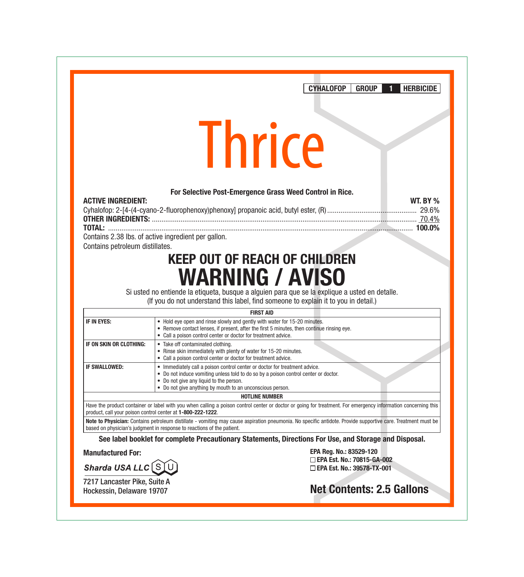CYHALOFOP GROUP 1 HERBICIDE

# **Thrice**

#### For Selective Post-Emergence Grass Weed Control in Rice.

| <b>ACTIVE INGREDIENT:</b>                           | <b>WT. BY %</b> |
|-----------------------------------------------------|-----------------|
|                                                     |                 |
|                                                     |                 |
|                                                     |                 |
| Contains 2.38 lbs. of active ingredient per gallon. |                 |

Contains petroleum distillates.

# KEEP OUT OF REACH OF CHILDREN WARNING / AVISO

Si usted no entiende la etiqueta, busque a alguien para que se la explique a usted en detalle. (If you do not understand this label, find someone to explain it to you in detail.)

## FIRST AID

| IF IN EYES:             | • Hold eye open and rinse slowly and gently with water for 15-20 minutes.                  |  |
|-------------------------|--------------------------------------------------------------------------------------------|--|
|                         |                                                                                            |  |
|                         | • Remove contact lenses, if present, after the first 5 minutes, then continue rinsing eye. |  |
|                         | • Call a poison control center or doctor for treatment advice.                             |  |
| IF ON SKIN OR CLOTHING: | • Take off contaminated clothing.                                                          |  |
|                         | • Rinse skin immediately with plenty of water for 15-20 minutes.                           |  |
|                         | • Call a poison control center or doctor for treatment advice.                             |  |
|                         |                                                                                            |  |
| IF SWALLOWED:           | • Immediately call a poison control center or doctor for treatment advice.                 |  |
|                         | • Do not induce vomiting unless told to do so by a poison control center or doctor.        |  |
|                         | • Do not give any liquid to the person.                                                    |  |
|                         | • Do not give anything by mouth to an unconscious person.                                  |  |
|                         |                                                                                            |  |
| <b>HOTLINE NUMBER</b>   |                                                                                            |  |

Have the product container or label with you when calling a poison control center or doctor or going for treatment. For emergency information concerning this product, call your poison control center at 1-800-222-1222.

Note to Physician: Contains petroleum distillate - vomiting may cause aspiration pneumonia. No specific antidote. Provide supportive care. Treatment must be based on physician's judgment in response to reactions of the patient.

See label booklet for complete Precautionary Statements, Directions For Use, and Storage and Disposal.

#### Manufactured For:

Sharda USA LLC [S]

7217 Lancaster Pike, Suite A Hockessin, Delaware 19707

EPA Reg. No.: 83529-120 EPA Est. No.: 70815-GA-002 EPA Est. No.: 39578-TX-001

Net Contents: 2.5 Gallons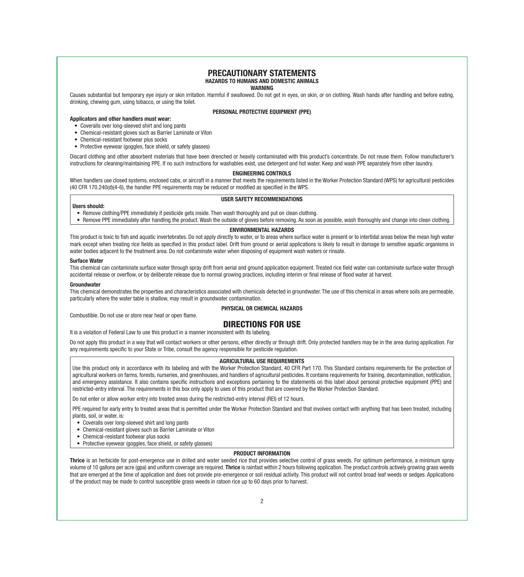#### PRECAUTIONARY STATEMENTS HAZARDS TO HUMANS AND DOMESTIC ANIMALS

WARNING

Causes substantial but temporary eye injury or skin irritation. Harmful if swallowed. Do not get in eyes, on skin, or on clothing. Wash hands after handling and before eating, drinking, chewing gum, using tobacco, or using the toilet.

#### PERSONAL PROTECTIVE EQUIPMENT (PPE)

#### Applicators and other handlers must wear:

- Coveralls over long-sleeved shirt and long pants
- Chemical-resistant gloves such as Barrier Laminate or Viton
- Chemical-resistant footwear plus socks
- Protective eyewear (goggles, face shield, or safety glasses)

Discard clothing and other absorbent materials that have been drenched or heavily contaminated with this product's concentrate. Do not reuse them. Follow manufacturer's instructions for cleaning/maintaining PPE. If no such instructions for washables exist, use detergent and hot water. Keep and wash PPE separately from other laundry.

#### ENGINEERING CONTROLS

When handlers use closed systems, enclosed cabs, or aircraft in a manner that meets the requirements listed in the Worker Protection Standard (WPS) for agricultural pesticides (40 CFR 170.240(d)(4-6), the handler PPE requirements may be reduced or modified as specified in the WPS.

#### USER SAFETY RECOMMENDATIONS

#### Users should:

- Remove clothing/PPE immediately if pesticide gets inside. Then wash thoroughly and put on clean clothing.
- Remove PPE immediately after handling the product. Wash the outside of gloves before removing. As soon as possible, wash thoroughly and change into clean clothing.

#### ENVIRONMENTAL HAZARDS

This product is toxic to fish and aquatic invertebrates. Do not apply directly to water, or to areas where surface water is present or to intertidal areas below the mean high water mark except when treating rice fields as specified in this product label. Drift from ground or aerial applications is likely to result in damage to sensitive aguatic organisms in water bodies adjacent to the treatment area. Do not contaminate water when disposing of equipment wash waters or rinsate.

#### Surface Water

This chemical can contaminate surface water through spray drift from aerial and ground application equipment. Treated rice field water can contaminate surface water through accidental release or overflow, or by deliberate release due to normal growing practices, including interim or final release of flood water at harvest.

#### Groundwater

This chemical demonstrates the properties and characteristics associated with chemicals detected in groundwater. The use of this chemical in areas where soils are permeable, particularly where the water table is shallow, may result in groundwater contamination.

#### PHYSICAL OR CHEMICAL HAZARDS

Combustible. Do not use or store near heat or open flame.

#### DIRECTIONS FOR USE

It is a violation of Federal Law to use this product in a manner inconsistent with its labeling.

Do not apply this product in a way that will contact workers or other persons, either directly or through drift. Only protected handlers may be in the area during application. For any requirements specific to your State or Tribe, consult the agency responsible for pesticide regulation.

#### AGRICULTURAL USE REQUIREMENTS

Use this product only in accordance with its labeling and with the Worker Protection Standard, 40 CFR Part 170. This Standard contains requirements for the protection of agricultural workers on farms, forests, nurseries, and greenhouses, and handlers of agricultural pesticides. It contains requirements for training, decontamination, notification, and emergency assistance. It also contains specific instructions and exceptions pertaining to the statements on this label about personal protective equipment (PPE) and restricted-entry interval. The requirements in this box only apply to uses of this product that are covered by the Worker Protection Standard.

Do not enter or allow worker entry into treated areas during the restricted-entry interval (REI) of 12 hours.

PPE required for early entry to treated areas that is permitted under the Worker Protection Standard and that involves contact with anything that has been treated, including plants, soil, or water, is:

- Coveralls over long-sleeved shirt and long pants
- Chemical-resistant gloves such as Barrier Laminate or Viton
- Chemical-resistant footwear plus socks
- Protective eyewear (goggles, face shield, or safety glasses)

#### PRODUCT INFORMATION

Thrice is an herbicide for post-emergence use in drilled and water seeded rice that provides selective control of grass weeds. For optimum performance, a minimum spray volume of 10 gallons per acre (qpa) and uniform coverage are required. Thrice is rainfast within 2 hours following application. The product controls actively growing grass weeds that are emerged at the time of application and does not provide pre-emergence or soil residual activity. This product will not control broad leaf weeds or sedges. Applications of the product may be made to control susceptible grass weeds in ratoon rice up to 60 days prior to harvest.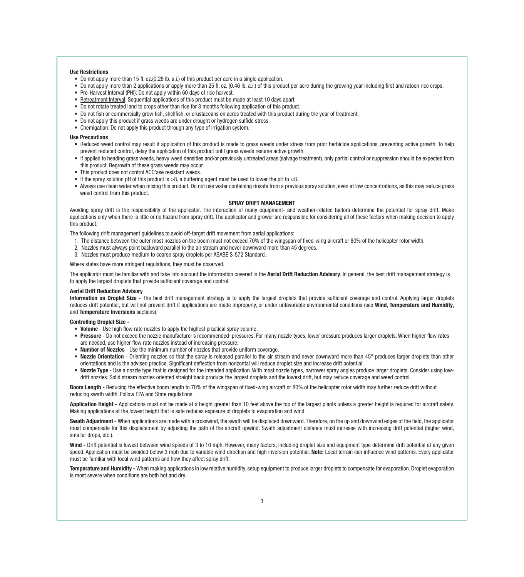#### Use Restrictions

- Do not apply more than 15 fl. oz.(0.28 lb. a.i.) of this product per acre in a single application.
- Do not apply more than 2 applications or apply more than 25 fl. oz. (0.46 lb. a.i.) of this product per acre during the growing year including first and ratoon rice crops.
- Pre-Harvest Interval (PHI): Do not apply within 60 days of rice harvest.
- Retreatment Interval: Sequential applications of this product must be made at least 10 days apart.
- Do not rotate treated land to crops other than rice for 3 months following application of this product.
- Do not fish or commercially grow fish, shellfish, or crustaceans on acres treated with this product during the year of treatment.
- Do not apply this product if grass weeds are under drought or hydrogen sulfide stress.
- Chemigation: Do not apply this product through any type of irrigation system.

#### Use Precautions

- Reduced weed control may result if application of this product is made to grass weeds under stress from prior herbicide applications, preventing active growth. To help prevent reduced control, delay the application of this product until grass weeds resume active growth.
- If applied to heading grass weeds, heavy weed densities and/or previously untreated areas (salvage treatment), only partial control or suppression should be expected from this product. Regrowth of these grass weeds may occur.
- This product does not control ACC'ase resistant weeds.
- If the spray solution pH of this product is  $>8$ , a buffering agent must be used to lower the pH to  $< 8$ .
- Always use clean water when mixing this product. Do not use water containing rinsate from a previous spray solution, even at low concentrations, as this may reduce grass weed control from this product.

#### SPRAY DRIFT MANAGEMENT

Avoiding spray drift is the responsibility of the applicator. The interaction of many equipment- and weather-related factors determine the potential for spray drift. Make applications only when there is little or no hazard from spray drift. The applicator and grower are responsible for considering all of these factors when making decision to apply this product.

The following drift management guidelines to avoid off-target drift movement from aerial applications:

- 1. The distance between the outer most nozzles on the boom must not exceed 70% of the wingspan of fixed-wing aircraft or 80% of the helicopter rotor width.
- 2. Nozzles must always point backward parallel to the air stream and never downward more than 45 degrees.
- 3. Nozzles must produce medium to coarse spray droplets per ASABE S-572 Standard.

Where states have more stringent regulations, they must be observed.

The applicator must be familiar with and take into account the information covered in the Aerial Drift Reduction Advisory. In general, the best drift management strategy is to apply the largest droplets that provide sufficient coverage and control.

#### Aerial Drift Reduction Advisory

Information on Droplet Size - The best drift management strategy is to apply the largest droplets that provide sufficient coverage and control. Applying larger droplets reduces drift potential, but will not prevent drift if applications are made improperly, or under unfavorable environmental conditions (see Wind, Temperature and Humidity, and Temperature Inversions sections).

#### Controlling Droplet Size -

- Volume Use high flow rate nozzles to apply the highest practical spray volume.
- Pressure Do not exceed the nozzle manufacturer's recommended· pressures. For many nozzle types, lower pressure produces larger droplets. When higher flow rates are needed, use higher flow rate nozzles instead of increasing pressure.
- Number of Nozzles Use the minimum number of nozzles that provide uniform coverage.
- Nozzle Orientation Orienting nozzles so that the spray is released parallel to the air stream and never downward more than 45° produces larger droplets than other orientations and is the advised practice. Significant deflection from horizontal will reduce droplet size and increase drift potential.
- Nozzle Type Use a nozzle type that is designed for the intended application. With most nozzle types, narrower spray angles produce larger droplets. Consider using lowdrift nozzles. Solid stream nozzles oriented straight back produce the largest droplets and the lowest drift, but may reduce coverage and weed control.

Boom Length - Reducing the effective boom length to 70% of the wingspan of fixed-wing aircraft or 80% of the helicopter rotor width may further reduce drift without reducing swath width. Follow EPA and State regulations.

Application Height - Applications must not be made at a height greater than 10 feet above the top of the largest plants unless a greater height is required for aircraft safety. Making applications at the lowest height that is safe reduces exposure of droplets to evaporation and wind.

Swath Adjustment - When applications are made with a crosswind, the swath will be displaced downward. Therefore, on the up and downwind edges of the field, the applicator must compensate for this displacement by adjusting the path of the aircraft upwind. Swath adjustment distance must increase with increasing drift potential (higher wind, smaller drops, etc.).

Wind - Drift potential is lowest between wind speeds of 3 to 10 mph. However, many factors, including droplet size and equipment type determine drift potential at any given speed. Application must be avoided below 3 mph due to variable wind direction and high inversion potential. Note: Local terrain can influence wind patterns. Every applicator must be familiar with local wind patterns and how they affect spray drift.

Temperature and Humidity - When making applications in low relative humidity, setup equipment to produce larger droplets to compensate for evaporation. Droplet evaporation is most severe when conditions are both hot and dry.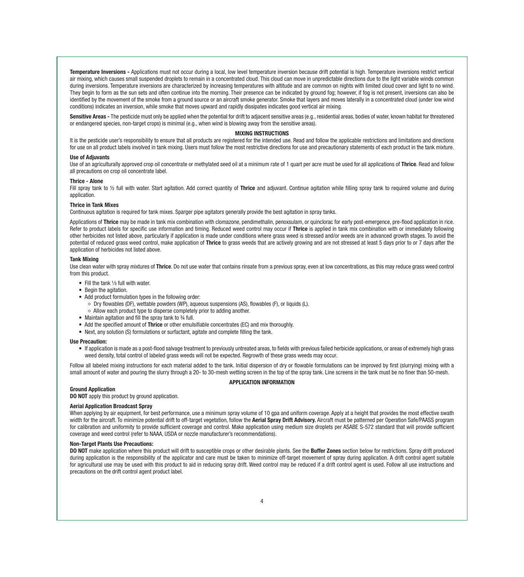Temperature Inversions - Applications must not occur during a local, low level temperature inversion because drift potential is high. Temperature inversions restrict vertical air mixing, which causes small suspended droplets to remain in a concentrated cloud. This cloud can move in unpredictable directions due to the light variable winds common during inversions. Temperature inversions are characterized by increasing temperatures with altitude and are common on nights with limited cloud cover and light to no wind. They begin to form as the sun sets and often continue into the morning. Their presence can be indicated by ground fog; however, if fog is not present, inversions can also be identified by the movement of the smoke from a ground source or an aircraft smoke generator. Smoke that layers and moves laterally in a concentrated cloud (under low wind conditions) indicates an inversion, while smoke that moves upward and rapidly dissipates indicates good vertical air mixing.

Sensitive Areas - The pesticide must only be applied when the potential for drift to adjacent sensitive areas (e.g., residential areas, bodies of water, known habitat for threatened or endangered species, non-target crops) is minimal (e.g., when wind is blowing away from the sensitive areas).

#### MIXING INSTRUCTIONS

It is the pesticide user's responsibility to ensure that all products are registered for the intended use. Read and follow the applicable restrictions and limitations and directions for use on all product labels involved in tank mixing. Users must follow the most restrictive directions for use and precautionary statements of each product in the tank mixture.

#### Use of Adjuvants

Use of an agriculturally approved crop oil concentrate or methylated seed oil at a minimum rate of 1 quart per acre must be used for all applications of Thrice. Read and follow all precautions on crop oil concentrate label.

#### Thrice - Alone

Fill spray tank to 1/2 full with water. Start agitation. Add correct quantity of Thrice and adjuvant. Continue agitation while filling spray tank to required volume and during application

#### Thrice in Tank Mixes

Continuous agitation is required for tank mixes. Sparger pipe agitators generally provide the best agitation in spray tanks.

Applications of Thrice may be made in tank mix combination with clomazone, pendimethalin, penoxsulam, or quinclorac for early post-emergence, pre-flood application in rice. Refer to product labels for specific use information and timing. Reduced weed control may occur if Thrice is applied in tank mix combination with or immediately following other herbicides not listed above, particularly if application is made under conditions where grass weed is stressed and/or weeds are in advanced growth stages. To avoid the potential of reduced grass weed control, make application of Thrice to grass weeds that are actively growing and are not stressed at least 5 days prior to or 7 days after the application of herbicides not listed above.

#### Tank Mixing

Use clean water with spray mixtures of Thrice. Do not use water that contains rinsate from a previous spray, even at low concentrations, as this may reduce grass weed control from this product.

- Fill the tank 1/3 full with water.
- Begin the agitation.
- Add product formulation types in the following order:
	- Dry flowables (DF), wettable powders (WP), aqueous suspensions (AS), flowables (F), or liquids (L).
- Allow each product type to disperse completely prior to adding another.
- Maintain agitation and fill the spray tank to 34 full.
- Add the specified amount of Thrice or other emulsifiable concentrates (EC) and mix thoroughly.
- Next, any solution (S) formulations or surfactant, agitate and complete filling the tank.

#### Use Precaution:

• If application is made as a post-flood salvage treatment to previously untreated areas, to fields with previous failed herbicide applications, or areas of extremely high grass weed density, total control of labeled grass weeds will not be expected. Regrowth of these grass weeds may occur.

Follow all labeled mixing instructions for each material added to the tank. Initial dispersion of dry or flowable formulations can be improved by first (slurrying) mixing with a small amount of water and pouring the slurry through a 20- to 30-mesh wetting screen in the top of the spray tank. Line screens in the tank must be no finer than 50-mesh.

#### APPLICATION INFORMATION

#### Ground Application

DO NOT apply this product by ground application.

#### Aerial Application Broadcast Spray

When applying by air equipment, for best performance, use a minimum spray volume of 10 gpa and uniform coverage. Apply at a height that provides the most effective swath width for the aircraft. To minimize potential drift to off-target vegetation, follow the Aerial Spray Drift Advisory. Aircraft must be patterned per Operation Safe/PAASS program for calibration and uniformity to provide sufficient coverage and control. Make application using medium size droplets per ASABE S-572 standard that will provide sufficient coverage and weed control (refer to NAAA, USDA or nozzle manufacturer's recommendations).

#### Non-Target Plants Use Precautions:

DO NOT make application where this product will drift to susceptible crops or other desirable plants. See the Buffer Zones section below for restrictions. Spray drift produced during application is the responsibility of the applicator and care must be taken to minimize off-target movement of spray during application. A drift control agent suitable for agricultural use may be used with this product to aid in reducing spray drift. Weed control may be reduced if a drift control agent is used. Follow all use instructions and precautions on the drift control agent product label.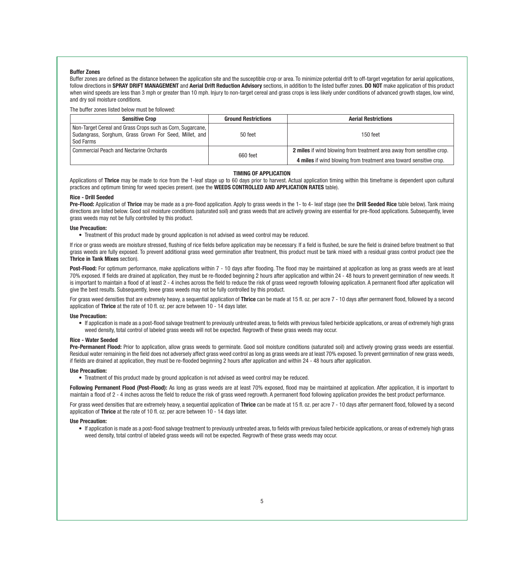#### Buffer Zones

Buffer zones are defined as the distance between the application site and the susceptible crop or area. To minimize potential drift to off-target vegetation for aerial applications, follow directions in SPRAY DRIFT MANAGEMENT and Aerial Drift Reduction Advisory sections, in addition to the listed buffer zones. DO NOT make application of this product when wind speeds are less than 3 mph or greater than 10 mph. Injury to non-target cereal and grass crops is less likely under conditions of advanced growth stages, low wind, and dry soil moisture conditions.

The buffer zones listed below must be followed:

| <b>Sensitive Crop</b>                                                                                                               | <b>Ground Restrictions</b>                                                                                                                              | <b>Aerial Restrictions</b> |
|-------------------------------------------------------------------------------------------------------------------------------------|---------------------------------------------------------------------------------------------------------------------------------------------------------|----------------------------|
| Non-Target Cereal and Grass Crops such as Corn, Sugarcane,  <br>Sudangrass, Sorghum, Grass Grown For Seed, Millet, and<br>Sod Farms | 50 feet                                                                                                                                                 | $150$ feet                 |
| <b>Commercial Peach and Nectarine Orchards</b>                                                                                      | 2 miles if wind blowing from treatment area away from sensitive crop.<br>660 feet<br>4 miles if wind blowing from treatment area toward sensitive crop. |                            |

#### TIMING OF APPLICATION

Applications of Thrice may be made to rice from the 1-leaf stage up to 60 days prior to harvest. Actual application timing within this timeframe is dependent upon cultural practices and optimum timing for weed species present. (see the WEEDS CONTROLLED AND APPLICATION RATES table).

#### Rice - Drill Seeded

Pre-Flood: Application of Thrice may be made as a pre-flood application. Apply to grass weeds in the 1- to 4- leaf stage (see the Drill Seeded Rice table below). Tank mixing directions are listed below. Good soil moisture conditions (saturated soil) and grass weeds that are actively growing are essential for pre-flood applications. Subsequently, levee grass weeds may not be fully controlled by this product.

#### Use Precaution:

• Treatment of this product made by ground application is not advised as weed control may be reduced.

If rice or grass weeds are moisture stressed, flushing of rice fields before application may be necessary. If a field is flushed, be sure the field is drained before treatment so that grass weeds are fully exposed. To prevent additional grass weed germination after treatment, this product must be tank mixed with a residual grass control product (see the Thrice in Tank Mixes section).

Post-Flood: For optimum performance, make applications within 7 - 10 days after flooding. The flood may be maintained at application as long as grass weeds are at least 70% exposed. If fields are drained at application, they must be re-flooded beginning 2 hours after application and within 24 - 48 hours to prevent germination of new weeds. It is important to maintain a flood of at least 2 - 4 inches across the field to reduce the risk of grass weed regrowth following application. A permanent flood after application will give the best results. Subsequently, levee grass weeds may not be fully controlled by this product.

For grass weed densities that are extremely heavy, a sequential application of Thrice can be made at 15 fl. oz. per acre 7 - 10 days after permanent flood, followed by a second application of Thrice at the rate of 10 fl. oz. per acre between 10 - 14 days later.

#### Use Precaution:

• If application is made as a post-flood salvage treatment to previously untreated areas, to fields with previous failed herbicide applications, or areas of extremely high grass weed density, total control of labeled grass weeds will not be expected. Regrowth of these grass weeds may occur.

#### Rice - Water Seeded

Pre-Permanent Flood: Prior to application, allow grass weeds to germinate. Good soil moisture conditions (saturated soil) and actively growing grass weeds are essential. Residual water remaining in the field does not adversely affect grass weed control as long as grass weeds are at least 70% exposed. To prevent germination of new grass weeds, if fields are drained at application, they must be re-flooded beginning 2 hours after application and within 24 - 48 hours after application.

#### Use Precaution:

• Treatment of this product made by ground application is not advised as weed control may be reduced.

Following Permanent Flood (Post-Flood): As long as grass weeds are at least 70% exposed, flood may be maintained at application. After application, it is important to maintain a flood of 2 - 4 inches across the field to reduce the risk of grass weed regrowth. A permanent flood following application provides the best product performance.

For grass weed densities that are extremely heavy, a sequential application of Thrice can be made at 15 fl. oz. per acre 7 - 10 days after permanent flood, followed by a second application of Thrice at the rate of 10 fl. oz. per acre between 10 - 14 days later.

#### Use Precaution:

• If application is made as a post-flood salvage treatment to previously untreated areas, to fields with previous failed herbicide applications, or areas of extremely high grass weed density, total control of labeled grass weeds will not be expected. Regrowth of these grass weeds may occur.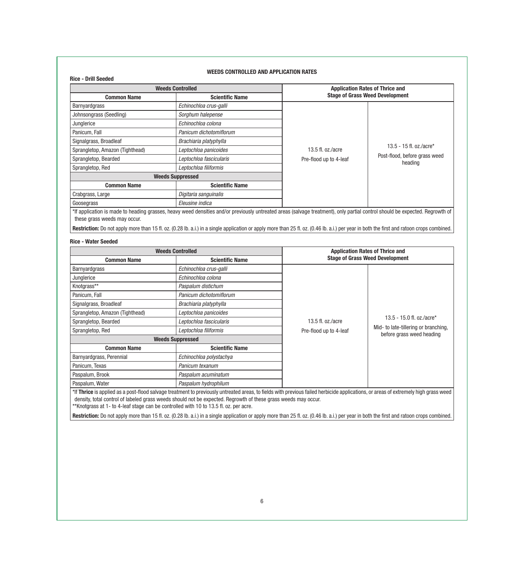#### Rice - Drill Seeded

#### WEEDS CONTROLLED AND APPLICATION RATES

| <b>Weeds Controlled</b>         |                         |                                        | <b>Application Rates of Thrice and</b> |  |
|---------------------------------|-------------------------|----------------------------------------|----------------------------------------|--|
| <b>Common Name</b>              | <b>Scientific Name</b>  | <b>Stage of Grass Weed Development</b> |                                        |  |
| Barnyardgrass                   | Echinochloa crus-galli  |                                        |                                        |  |
| Johnsongrass (Seedling)         | Sorghum halepense       |                                        |                                        |  |
| Junglerice                      | Echinochloa colona      | 13.5 fl. oz./acre                      |                                        |  |
| Panicum, Fall                   | Panicum dichotomiflorum |                                        |                                        |  |
| Signalgrass, Broadleaf          | Brachiaria platyphylla  |                                        |                                        |  |
| Sprangletop, Amazon (Tighthead) | Leptochloa panicoides   |                                        | 13.5 - 15 fl. oz./acre*                |  |
| Sprangletop, Bearded            | Leptochloa fascicularis | Pre-flood up to 4-leaf                 | Post-flood, before grass weed          |  |
| Sprangletop, Red                | Leptochloa filiformis   |                                        | heading                                |  |
|                                 | <b>Weeds Suppressed</b> |                                        |                                        |  |
| <b>Common Name</b>              | <b>Scientific Name</b>  |                                        |                                        |  |
| Crabgrass, Large                | Digitaria sanguinalis   |                                        |                                        |  |
| Goosegrass                      | Eleusine indica         |                                        |                                        |  |

Restriction: Do not apply more than 15 fl. oz. (0.28 lb. a.i.) in a single application or apply more than 25 fl. oz. (0.46 lb. a.i.) per year in both the first and ratoon crops combined.

#### Rice - Water Seeded

| <b>Weeds Controlled</b>         |                         | <b>Application Rates of Thrice and</b> |                                                                   |
|---------------------------------|-------------------------|----------------------------------------|-------------------------------------------------------------------|
| <b>Common Name</b>              | <b>Scientific Name</b>  | <b>Stage of Grass Weed Development</b> |                                                                   |
| Barnyardgrass                   | Echinochloa crus-galli  |                                        |                                                                   |
| Junglerice                      | Echinochloa colona      |                                        |                                                                   |
| Knotgrass**                     | Paspalum distichum      |                                        |                                                                   |
| Panicum, Fall                   | Panicum dichotomiflorum |                                        |                                                                   |
| Signalgrass, Broadleaf          | Brachiaria platyphylla  |                                        |                                                                   |
| Sprangletop, Amazon (Tighthead) | Leptochloa panicoides   |                                        |                                                                   |
| Sprangletop, Bearded            | Leptochloa fascicularis | 13.5 fl. oz./acre                      | 13.5 - 15.0 fl. oz./acre*                                         |
| Sprangletop, Red                | Leptochloa filiformis   | Pre-flood up to 4-leaf                 | Mid- to late-tillering or branching,<br>before grass weed heading |
| <b>Weeds Suppressed</b>         |                         |                                        |                                                                   |
| <b>Common Name</b>              | <b>Scientific Name</b>  |                                        |                                                                   |
| Barnyardgrass, Perennial        | Echinochloa polystachya |                                        |                                                                   |
| Panicum, Texas                  | Panicum texanum         |                                        |                                                                   |
| Paspalum, Brook                 | Paspalum acuminatum     |                                        |                                                                   |
| Paspalum, Water                 | Paspalum hydrophilum    |                                        |                                                                   |

\*If Thrice is applied as a post-flood salvage treatment to previously untreated areas, to fields with previous failed herbicide applications, or areas of extremely high grass weed density, total control of labeled grass weeds should not be expected. Regrowth of these grass weeds may occur. \*\*Knotgrass at 1- to 4-leaf stage can be controlled with 10 to 13.5 fl. oz. per acre.

Restriction: Do not apply more than 15 fl. oz. (0.28 lb. a.i.) in a single application or apply more than 25 fl. oz. (0.46 lb. a.i.) per year in both the first and ratoon crops combined.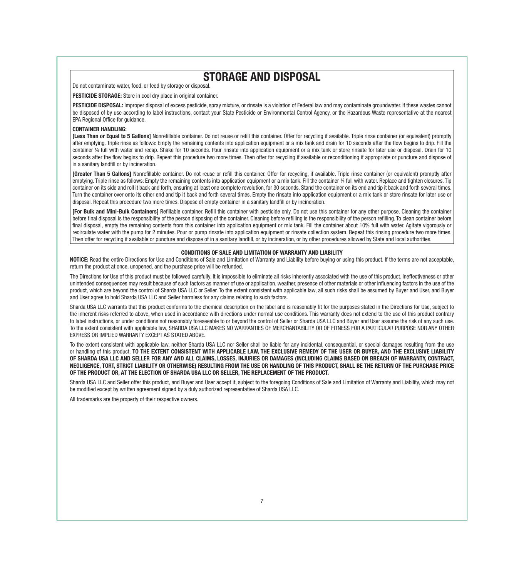# STORAGE AND DISPOSAL

Do not contaminate water, food, or feed by storage or disposal.

PESTICIDE STORAGE: Store in cool dry place in original container.

PESTICIDE DISPOSAL: Improper disposal of excess pesticide, spray mixture, or rinsate is a violation of Federal law and may contaminate groundwater. If these wastes cannot be disposed of by use according to label instructions, contact your State Pesticide or Environmental Control Agency, or the Hazardous Waste representative at the nearest EPA Regional Office for guidance.

#### CONTAINER HANDLING:

**[Less Than or Equal to 5 Gallons]** Nonrefillable container. Do not reuse or refill this container. Offer for recycling if available. Triple rinse container (or equivalent) promptly after emptying. Triple rinse as follows: Empty the remaining contents into application equipment or a mix tank and drain for 10 seconds after the flow begins to drip. Fill the container ¼ full with water and recap. Shake for 10 seconds. Pour rinsate into application equipment or a mix tank or store rinsate for later use or disposal. Drain for 10 seconds after the flow begins to drip. Repeat this procedure two more times. Then offer for recycling if available or reconditioning if appropriate or puncture and dispose of in a sanitary landfill or by incineration.

[Greater Than 5 Gallons] Nonrefillable container. Do not reuse or refill this container. Offer for recycling, if available. Triple rinse container (or equivalent) promptly after emptying. Triple rinse as follows: Empty the remaining contents into application equipment or a mix tank. Fill the container 1/4 full with water. Replace and tighten closures. Tip container on its side and roll it back and forth, ensuring at least one complete revolution, for 30 seconds. Stand the container on its end and tip it back and forth several times. Turn the container over onto its other end and tip it back and forth several times. Empty the rinsate into application equipment or a mix tank or store rinsate for later use or disposal. Repeat this procedure two more times. Dispose of empty container in a sanitary landfill or by incineration.

[For Bulk and Mini-Bulk Containers] Refillable container. Refill this container with pesticide only. Do not use this container for any other purpose. Cleaning the container before final disposal is the responsibility of the person disposing of the container. Cleaning before refilling is the responsibility of the person refilling. To clean container before final disposal, empty the remaining contents from this container into application equipment or mix tank. Fill the container about 10% full with water. Agitate vigorously or recirculate water with the pump for 2 minutes. Pour or pump rinsate into application equipment or rinsate collection system. Repeat this rinsing procedure two more times. Then offer for recycling if available or puncture and dispose of in a sanitary landfill, or by incineration, or by other procedures allowed by State and local authorities.

#### CONDITIONS OF SALE AND LIMITATION OF WARRANTY AND LIABILITY

NOTICE: Read the entire Directions for Use and Conditions of Sale and Limitation of Warranty and Liability before buying or using this product. If the terms are not acceptable, return the product at once, unopened, and the purchase price will be refunded.

The Directions for Use of this product must be followed carefully. It is impossible to eliminate all risks inherently associated with the use of this product. Ineffectiveness or other unintended consequences may result because of such factors as manner of use or application, weather, presence of other materials or other influencing factors in the use of the product, which are beyond the control of Sharda USA LLC or Seller. To the extent consistent with applicable law, all such risks shall be assumed by Buyer and User, and Buyer and User agree to hold Sharda USA LLC and Seller harmless for any claims relating to such factors.

Sharda USA LLC warrants that this product conforms to the chemical description on the label and is reasonably fit for the purposes stated in the Directions for Use, subject to the inherent risks referred to above, when used in accordance with directions under normal use conditions. This warranty does not extend to the use of this product contrary to label instructions, or under conditions not reasonably foreseeable to or beyond the control of Seller or Sharda USA LLC and Buyer and User assume the risk of any such use. To the extent consistent with applicable law, SHARDA USA LLC MAKES NO WARRANTIES OF MERCHANTABILITY OR OF FITNESS FOR A PARTICULAR PURPOSE NOR ANY OTHER EXPRESS OR IMPLIED WARRANTY EXCEPT AS STATED ABOVE.

To the extent consistent with applicable law, neither Sharda USA LLC nor Seller shall be liable for any incidental, consequential, or special damages resulting from the use or handling of this product. TO THE EXTENT CONSISTENT WITH APPLICABLE LAW, THE EXCLUSIVE REMEDY OF THE USER OR BUYER, AND THE EXCLUSIVE LIABILITY OF SHARDA USA LLC AND SELLER FOR ANY AND ALL CLAIMS, LOSSES, INJURIES OR DAMAGES (INCLUDING CLAIMS BASED ON BREACH OF WARRANTY, CONTRACT, NEGLIGENCE, TORT, STRICT LIABILITY OR OTHERWISE) RESULTING FROM THE USE OR HANDLING OF THIS PRODUCT, SHALL BE THE RETURN OF THE PURCHASE PRICE OF THE PRODUCT OR, AT THE ELECTION OF SHARDA USA LLC OR SELLER, THE REPLACEMENT OF THE PRODUCT.

Sharda USA LLC and Seller offer this product, and Buyer and User accept it, subject to the foregoing Conditions of Sale and Limitation of Warranty and Liability, which may not be modified except by written agreement signed by a duly authorized representative of Sharda USA LLC.

All trademarks are the property of their respective owners.